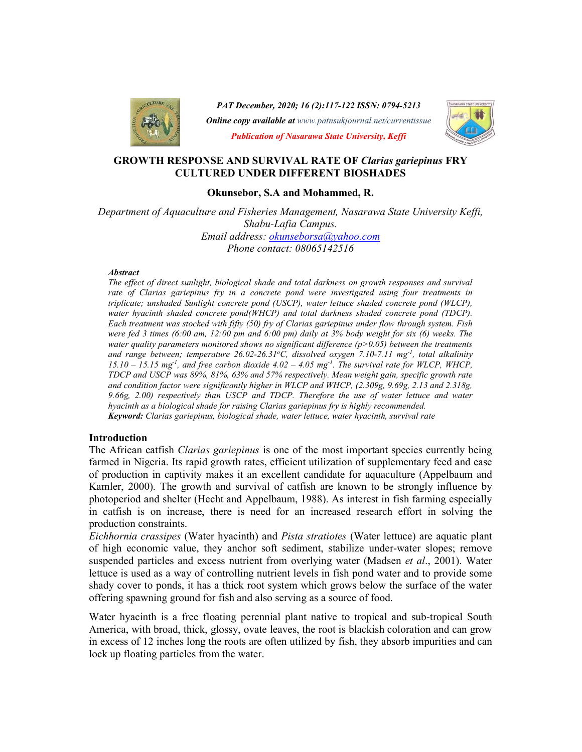

PAT December, 2020; 16 (2):117-122 ISSN: 0794-5213

Online copy available at www.patnsukjournal.net/currentissue



Publication of Nasarawa State University, Keffi

## GROWTH RESPONSE AND SURVIVAL RATE OF Clarias gariepinus FRY CULTURED UNDER DIFFERENT BIOSHADES

#### Okunsebor, S.A and Mohammed, R.

Department of Aquaculture and Fisheries Management, Nasarawa State University Keffi, Shabu-Lafia Campus. Email address: okunseborsa@yahoo.com Phone contact: 08065142516

#### **Abstract**

The effect of direct sunlight, biological shade and total darkness on growth responses and survival rate of Clarias gariepinus fry in a concrete pond were investigated using four treatments in triplicate; unshaded Sunlight concrete pond (USCP), water lettuce shaded concrete pond (WLCP), water hyacinth shaded concrete pond(WHCP) and total darkness shaded concrete pond (TDCP). Each treatment was stocked with fifty (50) fry of Clarias gariepinus under flow through system. Fish were fed 3 times (6:00 am, 12:00 pm and 6:00 pm) daily at 3% body weight for six (6) weeks. The water quality parameters monitored shows no significant difference  $(p>0.05)$  between the treatments and range between; temperature 26.02-26.31°C, dissolved oxygen 7.10-7.11 mg<sup>-1</sup>, total alkalinity  $15.10 - 15.15$  mg<sup>-1</sup>, and free carbon dioxide  $4.02 - 4.05$  mg<sup>-1</sup>. The survival rate for WLCP, WHCP, TDCP and USCP was 89%, 81%, 63% and 57% respectively. Mean weight gain, specific growth rate and condition factor were significantly higher in WLCP and WHCP, (2.309g, 9.69g, 2.13 and 2.318g, 9.66g, 2.00) respectively than USCP and TDCP. Therefore the use of water lettuce and water hyacinth as a biological shade for raising Clarias gariepinus fry is highly recommended. Keyword: Clarias gariepinus, biological shade, water lettuce, water hyacinth, survival rate

## Introduction

The African catfish *Clarias gariepinus* is one of the most important species currently being farmed in Nigeria. Its rapid growth rates, efficient utilization of supplementary feed and ease of production in captivity makes it an excellent candidate for aquaculture (Appelbaum and Kamler, 2000). The growth and survival of catfish are known to be strongly influence by photoperiod and shelter (Hecht and Appelbaum, 1988). As interest in fish farming especially in catfish is on increase, there is need for an increased research effort in solving the production constraints.

Eichhornia crassipes (Water hyacinth) and Pista stratiotes (Water lettuce) are aquatic plant of high economic value, they anchor soft sediment, stabilize under-water slopes; remove suspended particles and excess nutrient from overlying water (Madsen *et al.*, 2001). Water lettuce is used as a way of controlling nutrient levels in fish pond water and to provide some shady cover to ponds, it has a thick root system which grows below the surface of the water offering spawning ground for fish and also serving as a source of food.

Water hyacinth is a free floating perennial plant native to tropical and sub-tropical South America, with broad, thick, glossy, ovate leaves, the root is blackish coloration and can grow in excess of 12 inches long the roots are often utilized by fish, they absorb impurities and can lock up floating particles from the water.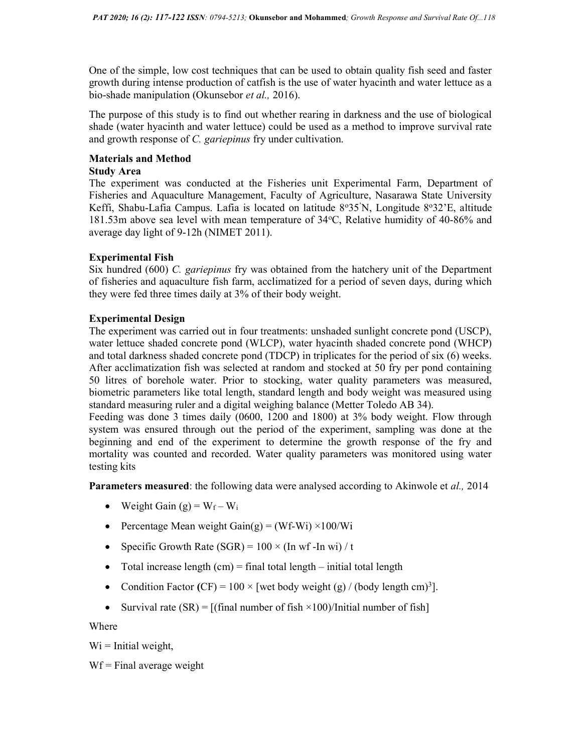One of the simple, low cost techniques that can be used to obtain quality fish seed and faster growth during intense production of catfish is the use of water hyacinth and water lettuce as a bio-shade manipulation (Okunsebor et al., 2016).

The purpose of this study is to find out whether rearing in darkness and the use of biological shade (water hyacinth and water lettuce) could be used as a method to improve survival rate and growth response of C. *gariepinus* fry under cultivation.

# Materials and Method

# Study Area

The experiment was conducted at the Fisheries unit Experimental Farm, Department of Fisheries and Aquaculture Management, Faculty of Agriculture, Nasarawa State University Keffi, Shabu-Lafia Campus. Lafia is located on latitude 8°35'N, Longitude 8°32'E, altitude 181.53m above sea level with mean temperature of 34°C, Relative humidity of 40-86% and average day light of 9-12h (NIMET 2011).

# Experimental Fish

Six hundred  $(600)$  C. gariepinus fry was obtained from the hatchery unit of the Department of fisheries and aquaculture fish farm, acclimatized for a period of seven days, during which they were fed three times daily at 3% of their body weight.

# Experimental Design

The experiment was carried out in four treatments: unshaded sunlight concrete pond (USCP), water lettuce shaded concrete pond (WLCP), water hyacinth shaded concrete pond (WHCP) and total darkness shaded concrete pond (TDCP) in triplicates for the period of six (6) weeks. After acclimatization fish was selected at random and stocked at 50 fry per pond containing 50 litres of borehole water. Prior to stocking, water quality parameters was measured, biometric parameters like total length, standard length and body weight was measured using standard measuring ruler and a digital weighing balance (Metter Toledo AB 34).

Feeding was done 3 times daily (0600, 1200 and 1800) at 3% body weight. Flow through system was ensured through out the period of the experiment, sampling was done at the beginning and end of the experiment to determine the growth response of the fry and mortality was counted and recorded. Water quality parameters was monitored using water testing kits

Parameters measured: the following data were analysed according to Akinwole et al., 2014

- Weight Gain  $(g) = W_f W_i$
- Percentage Mean weight  $Gain(g) = (Wf-Wi) \times 100/Wi$
- Specific Growth Rate (SGR) =  $100 \times (In \text{ wf-In wi})/t$
- Total increase length  $(cm)$  = final total length initial total length
- Condition Factor (CF) =  $100 \times$  [wet body weight (g) / (body length cm)<sup>3</sup>].
- Survival rate  $(SR) = [(final number of fish \times 100)/Initial number of fish]$

Where

 $Wi = Initial weight,$ 

 $Wf = Final$  average weight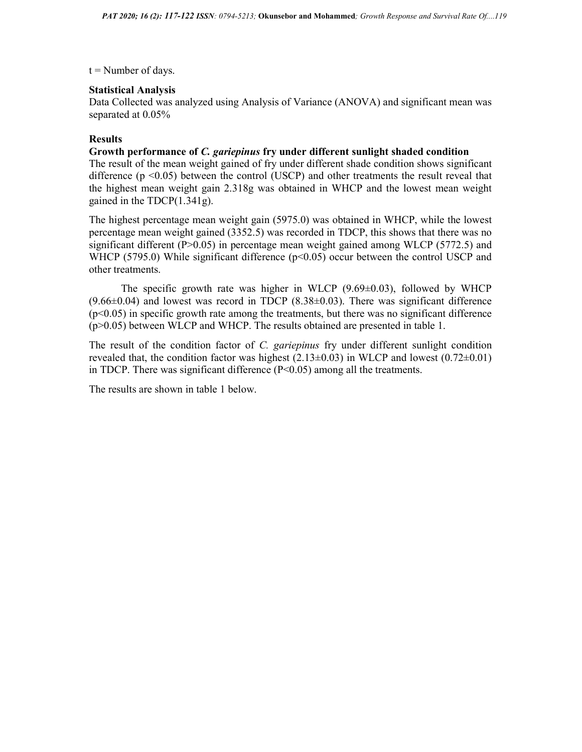## $t =$ Number of days.

## Statistical Analysis

Data Collected was analyzed using Analysis of Variance (ANOVA) and significant mean was separated at 0.05%

# Results

#### Growth performance of C. gariepinus fry under different sunlight shaded condition

The result of the mean weight gained of fry under different shade condition shows significant difference  $(p \le 0.05)$  between the control (USCP) and other treatments the result reveal that the highest mean weight gain 2.318g was obtained in WHCP and the lowest mean weight gained in the TDCP(1.341g).

The highest percentage mean weight gain (5975.0) was obtained in WHCP, while the lowest percentage mean weight gained (3352.5) was recorded in TDCP, this shows that there was no significant different (P>0.05) in percentage mean weight gained among WLCP (5772.5) and WHCP (5795.0) While significant difference ( $p<0.05$ ) occur between the control USCP and other treatments.

The specific growth rate was higher in WLCP  $(9.69\pm0.03)$ , followed by WHCP  $(9.66\pm0.04)$  and lowest was record in TDCP  $(8.38\pm0.03)$ . There was significant difference  $(p<0.05)$  in specific growth rate among the treatments, but there was no significant difference (p>0.05) between WLCP and WHCP. The results obtained are presented in table 1.

The result of the condition factor of C. gariepinus fry under different sunlight condition revealed that, the condition factor was highest  $(2.13\pm0.03)$  in WLCP and lowest  $(0.72\pm0.01)$ in TDCP. There was significant difference  $(P<0.05)$  among all the treatments.

The results are shown in table 1 below.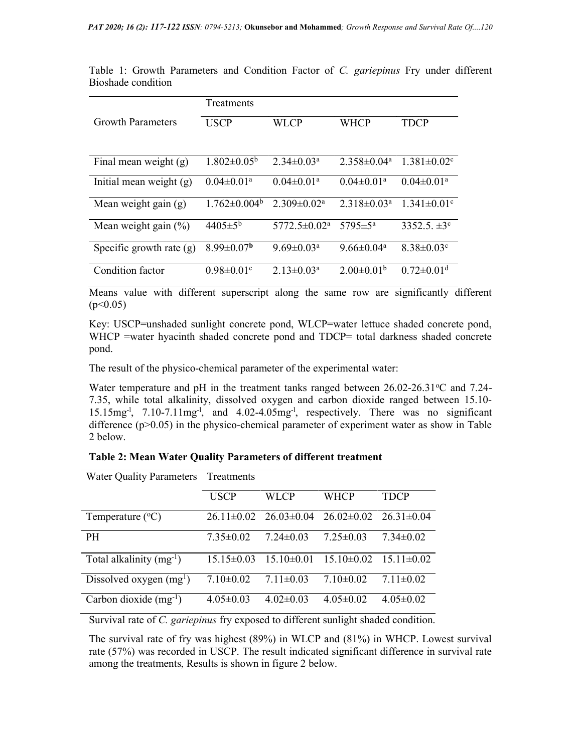Table 1: Growth Parameters and Condition Factor of C. gariepinus Fry under different Bioshade condition

|                            | Treatments                   |                                |                              |                               |  |  |
|----------------------------|------------------------------|--------------------------------|------------------------------|-------------------------------|--|--|
| <b>Growth Parameters</b>   | <b>USCP</b>                  | WLCP                           | <b>WHCP</b>                  | <b>TDCP</b>                   |  |  |
|                            |                              |                                |                              |                               |  |  |
| Final mean weight $(g)$    | $1.802 \pm 0.05^{\rm b}$     | $2.34 \pm 0.03^{\text{a}}$     | $2.358\pm0.04^{\circ}$       | $1.381 \pm 0.02$ <sup>c</sup> |  |  |
| Initial mean weight $(g)$  | $0.04 \pm 0.01$ <sup>a</sup> | $0.04 \pm 0.01$ <sup>a</sup>   | $0.04 \pm 0.01$ <sup>a</sup> | $0.04 \pm 0.01$ <sup>a</sup>  |  |  |
| Mean weight gain $(g)$     | $1.762 \pm 0.004^b$          | $2.309 \pm 0.02^a$             | $2.318 \pm 0.03^{\text{a}}$  | $1.341 \pm 0.01$ <sup>c</sup> |  |  |
| Mean weight gain $(\%)$    | $4405 \pm 5^{\rm b}$         | $5772.5 \pm 0.02^{\mathrm{a}}$ | 5795 $\pm$ 5 <sup>a</sup>    | 3352.5. $\pm 3^{\circ}$       |  |  |
| Specific growth rate $(g)$ | $8.99 \pm 0.07^{\rm b}$      | $9.69 \pm 0.03^{\text{a}}$     | $9.66 \pm 0.04^a$            | $8.38 \pm 0.03$ <sup>c</sup>  |  |  |
| Condition factor           | $0.98 \pm 0.01$ <sup>c</sup> | $2.13 \pm 0.03^a$              | $2.00 \pm 0.01^b$            | $0.72 \pm 0.01$ <sup>d</sup>  |  |  |

Means value with different superscript along the same row are significantly different  $(p<0.05)$ 

Key: USCP=unshaded sunlight concrete pond, WLCP=water lettuce shaded concrete pond, WHCP =water hyacinth shaded concrete pond and TDCP= total darkness shaded concrete pond.

The result of the physico-chemical parameter of the experimental water:

Water temperature and pH in the treatment tanks ranged between  $26.02$ - $26.31$ <sup>o</sup>C and  $7.24$ -7.35, while total alkalinity, dissolved oxygen and carbon dioxide ranged between 15.10- 15.15mg-l, 7.10-7.11mg-l, and 4.02-4.05mg-l, respectively. There was no significant difference (p>0.05) in the physico-chemical parameter of experiment water as show in Table 2 below.

| Table 2: Mean Water Quality Parameters of different treatment |  |  |
|---------------------------------------------------------------|--|--|
|---------------------------------------------------------------|--|--|

| <b>Water Quality Parameters</b> | Treatments      |                                                             |                 |                  |
|---------------------------------|-----------------|-------------------------------------------------------------|-----------------|------------------|
|                                 | <b>USCP</b>     | WLCP                                                        | <b>WHCP</b>     | TDCP             |
| Temperature $({}^{\circ}C)$     |                 | $26.11\pm0.02$ $26.03\pm0.04$ $26.02\pm0.02$ $26.31\pm0.04$ |                 |                  |
| <b>PH</b>                       | $7.35\pm0.02$   | $7.24 \pm 0.03$                                             | $7.25 \pm 0.03$ | $7.34 \pm 0.02$  |
| Total alkalinity $(mg^{-1})$    | $15.15\pm0.03$  | $15.10\pm0.01$                                              | $15.10\pm0.02$  | $15.11 \pm 0.02$ |
| Dissolved oxygen $(mg1)$        | $7.10 \pm 0.02$ | $7.11 \pm 0.03$                                             | $7.10 \pm 0.02$ | $7.11 \pm 0.02$  |
| Carbon dioxide $(mg^{-1})$      | $4.05 \pm 0.03$ | $4.02 \pm 0.03$                                             | $4.05 \pm 0.02$ | $4.05 \pm 0.02$  |

Survival rate of C. gariepinus fry exposed to different sunlight shaded condition.

The survival rate of fry was highest (89%) in WLCP and (81%) in WHCP. Lowest survival rate (57%) was recorded in USCP. The result indicated significant difference in survival rate among the treatments, Results is shown in figure 2 below.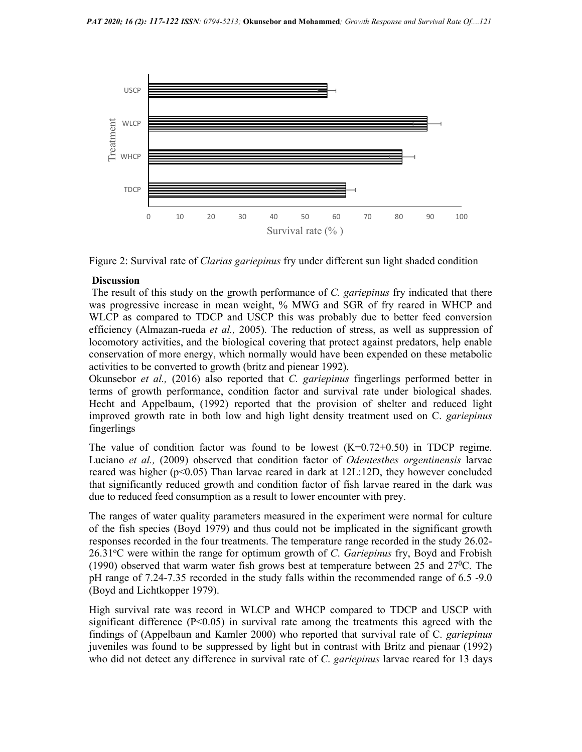



#### **Discussion**

The result of this study on the growth performance of C. gariepinus fry indicated that there was progressive increase in mean weight, % MWG and SGR of fry reared in WHCP and WLCP as compared to TDCP and USCP this was probably due to better feed conversion efficiency (Almazan-rueda *et al.*, 2005). The reduction of stress, as well as suppression of locomotory activities, and the biological covering that protect against predators, help enable conservation of more energy, which normally would have been expended on these metabolic activities to be converted to growth (britz and pienear 1992).

Okunsebor et al., (2016) also reported that C. gariepinus fingerlings performed better in terms of growth performance, condition factor and survival rate under biological shades. Hecht and Appelbaum, (1992) reported that the provision of shelter and reduced light improved growth rate in both low and high light density treatment used on C. *gariepinus* fingerlings

The value of condition factor was found to be lowest  $(K=0.72+0.50)$  in TDCP regime. Luciano et al., (2009) observed that condition factor of *Odentesthes orgentinensis* larvae reared was higher ( $p<0.05$ ) Than larvae reared in dark at 12L:12D, they however concluded that significantly reduced growth and condition factor of fish larvae reared in the dark was due to reduced feed consumption as a result to lower encounter with prey.

The ranges of water quality parameters measured in the experiment were normal for culture of the fish species (Boyd 1979) and thus could not be implicated in the significant growth responses recorded in the four treatments. The temperature range recorded in the study 26.02- 26.31 $\degree$ C were within the range for optimum growth of C. Gariepinus fry, Boyd and Frobish (1990) observed that warm water fish grows best at temperature between 25 and  $27^{\circ}$ C. The pH range of 7.24-7.35 recorded in the study falls within the recommended range of 6.5 -9.0 (Boyd and Lichtkopper 1979).

High survival rate was record in WLCP and WHCP compared to TDCP and USCP with significant difference  $(P<0.05)$  in survival rate among the treatments this agreed with the findings of (Appelbaun and Kamler 2000) who reported that survival rate of C. *gariepinus* juveniles was found to be suppressed by light but in contrast with Britz and pienaar (1992) who did not detect any difference in survival rate of C. *gariepinus* larvae reared for 13 days